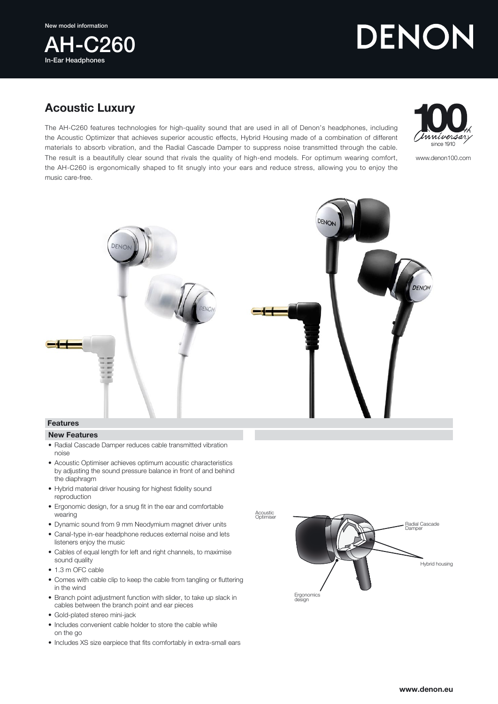New model information



## DENON

## Acoustic Luxury

The AH-C260 features technologies for high-quality sound that are used in all of Denon's headphones, including the Acoustic Optimizer that achieves superior acoustic effects, Hybrid Housing made of a combination of different materials to absorb vibration, and the Radial Cascade Damper to suppress noise transmitted through the cable. The result is a beautifully clear sound that rivals the quality of high-end models. For optimum wearing comfort, the AH-C260 is ergonomically shaped to fit snugly into your ears and reduce stress, allowing you to enjoy the music care-free.



www.denon100.com



## New Features

- Radial Cascade Damper reduces cable transmitted vibration noise
- Acoustic Optimiser achieves optimum acoustic characteristics by adjusting the sound pressure balance in front of and behind the diaphragm
- Hybrid material driver housing for highest fidelity sound reproduction
- Ergonomic design, for a snug fit in the ear and comfortable wearing
- Dynamic sound from 9 mm Neodymium magnet driver units
- Canal-type in-ear headphone reduces external noise and lets listeners enjoy the music
- Cables of equal length for left and right channels, to maximise sound quality
- 1.3 m OFC cable
- Comes with cable clip to keep the cable from tangling or fluttering in the wind
- Branch point adjustment function with slider, to take up slack in cables between the branch point and ear pieces
- Gold-plated stereo mini-jack
- Includes convenient cable holder to store the cable while on the go
- Includes XS size earpiece that fits comfortably in extra-small ears